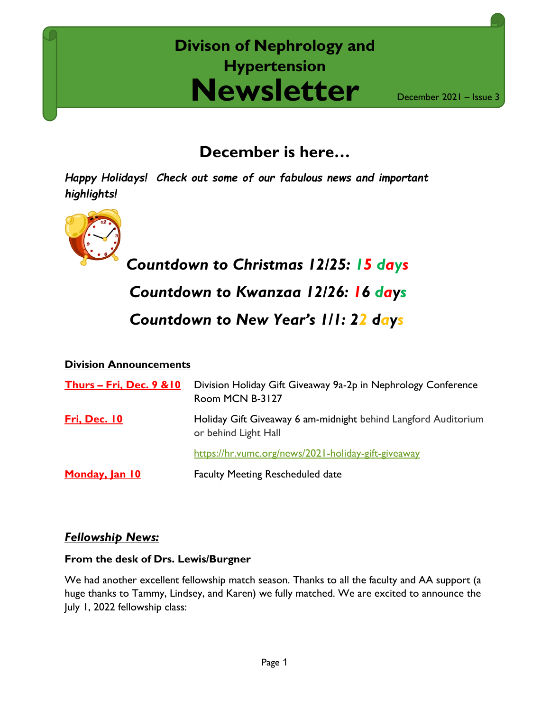## **Newsletter Divison of Nephrology and Hypertension**

December 2021 – Issue 3

## **December is here…**

*Happy Holidays! Check out some of our fabulous news and important highlights!*



*Countdown to Christmas 12/25: 15 days Countdown to Kwanzaa 12/26: 16 days Countdown to New Year's 1/1: 22 days*

#### **Division Announcements**

| Thurs – Fri, Dec. $9 & 10$ | Division Holiday Gift Giveaway 9a-2p in Nephrology Conference<br>Room MCN B-3127       |
|----------------------------|----------------------------------------------------------------------------------------|
| Fri, Dec. 10               | Holiday Gift Giveaway 6 am-midnight behind Langford Auditorium<br>or behind Light Hall |
|                            | https://hr.vumc.org/news/2021-holiday-gift-giveaway                                    |
| Monday, Jan 10             | <b>Faculty Meeting Rescheduled date</b>                                                |

#### *Fellowship News:*

#### **From the desk of Drs. Lewis/Burgner**

We had another excellent fellowship match season. Thanks to all the faculty and AA support (a huge thanks to Tammy, Lindsey, and Karen) we fully matched. We are excited to announce the July 1, 2022 fellowship class: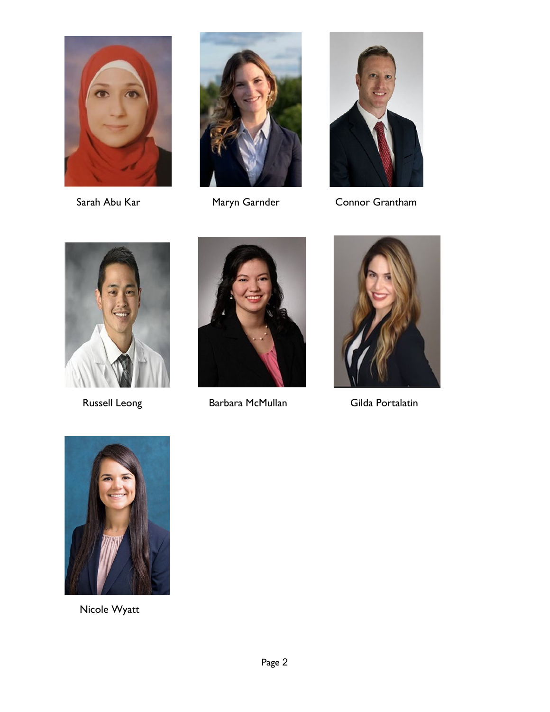





Sarah Abu Kar **Maryn Garnder** Connor Grantham





Russell Leong Barbara McMullan Gilda Portalatin





Nicole Wyatt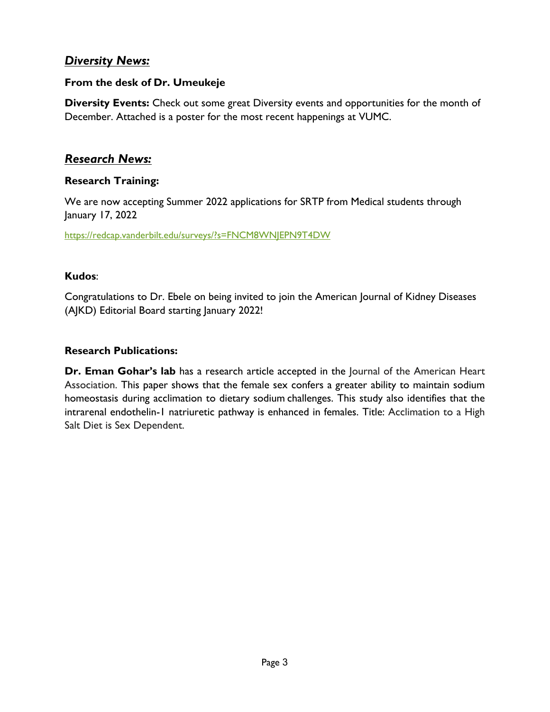#### *Diversity News:*

#### **From the desk of Dr. Umeukeje**

**Diversity Events:** Check out some great Diversity events and opportunities for the month of December. Attached is a poster for the most recent happenings at VUMC.

#### *Research News:*

#### **Research Training:**

We are now accepting Summer 2022 applications for SRTP from Medical students through January 17, 2022

<https://redcap.vanderbilt.edu/surveys/?s=FNCM8WNJEPN9T4DW>

#### **Kudos**:

Congratulations to Dr. Ebele on being invited to join the American Journal of Kidney Diseases (AJKD) Editorial Board starting January 2022!

#### **Research Publications:**

**Dr. Eman Gohar's lab** has a research article accepted in the Journal of the American Heart Association. This paper shows that the female sex confers a greater ability to maintain sodium homeostasis during acclimation to dietary sodium challenges. This study also identifies that the intrarenal endothelin-1 natriuretic pathway is enhanced in females. Title: Acclimation to a High Salt Diet is Sex Dependent.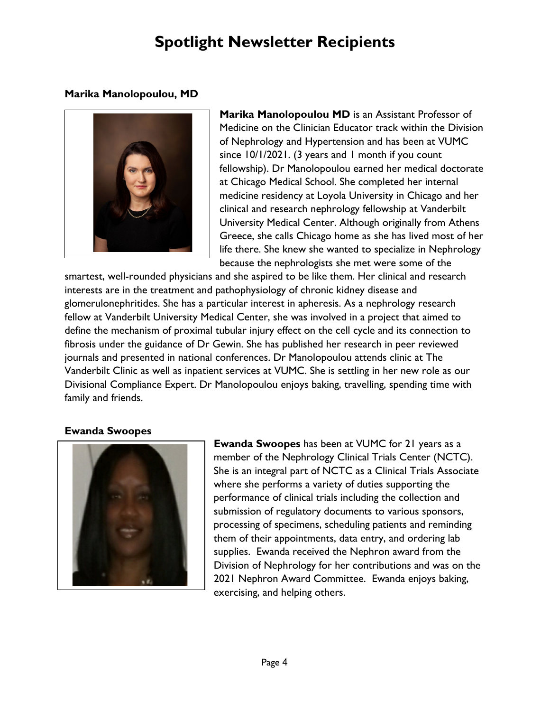## **Spotlight Newsletter Recipients**

#### **Marika Manolopoulou, MD**



**Marika Manolopoulou MD** is an Assistant Professor of Medicine on the Clinician Educator track within the Division of Nephrology and Hypertension and has been at VUMC since 10/1/2021. (3 years and 1 month if you count fellowship). Dr Manolopoulou earned her medical doctorate at Chicago Medical School. She completed her internal medicine residency at Loyola University in Chicago and her clinical and research nephrology fellowship at Vanderbilt University Medical Center. Although originally from Athens Greece, she calls Chicago home as she has lived most of her life there. She knew she wanted to specialize in Nephrology because the nephrologists she met were some of the

smartest, well-rounded physicians and she aspired to be like them. Her clinical and research interests are in the treatment and pathophysiology of chronic kidney disease and glomerulonephritides. She has a particular interest in apheresis. As a nephrology research fellow at Vanderbilt University Medical Center, she was involved in a project that aimed to define the mechanism of proximal tubular injury effect on the cell cycle and its connection to fibrosis under the guidance of Dr Gewin. She has published her research in peer reviewed journals and presented in national conferences. Dr Manolopoulou attends clinic at The Vanderbilt Clinic as well as inpatient services at VUMC. She is settling in her new role as our Divisional Compliance Expert. Dr Manolopoulou enjoys baking, travelling, spending time with family and friends.

#### **Ewanda Swoopes**



**Ewanda Swoopes** has been at VUMC for 21 years as a member of the Nephrology Clinical Trials Center (NCTC). She is an integral part of NCTC as a Clinical Trials Associate where she performs a variety of duties supporting the performance of clinical trials including the collection and submission of regulatory documents to various sponsors, processing of specimens, scheduling patients and reminding them of their appointments, data entry, and ordering lab supplies. Ewanda received the Nephron award from the Division of Nephrology for her contributions and was on the 2021 Nephron Award Committee. Ewanda enjoys baking, exercising, and helping others.